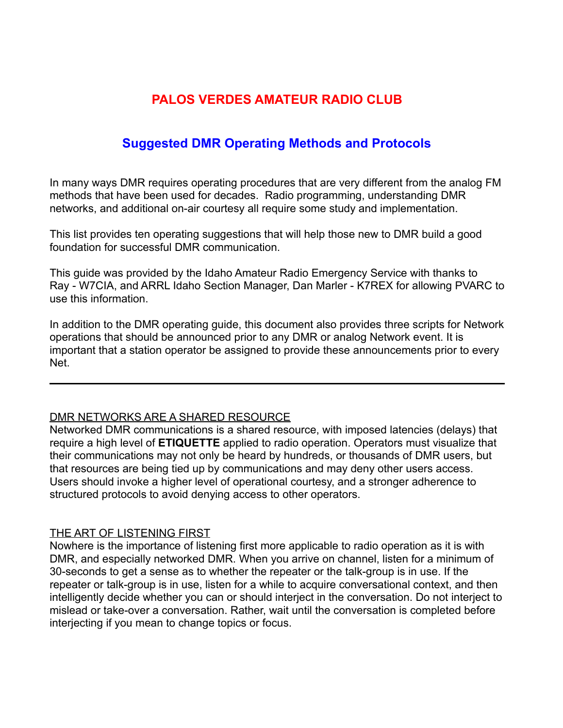# **PALOS VERDES AMATEUR RADIO CLUB**

# **Suggested DMR Operating Methods and Protocols**

In many ways DMR requires operating procedures that are very different from the analog FM methods that have been used for decades. Radio programming, understanding DMR networks, and additional on-air courtesy all require some study and implementation.

This list provides ten operating suggestions that will help those new to DMR build a good foundation for successful DMR communication.

This guide was provided by the Idaho Amateur Radio Emergency Service with thanks to Ray - W7CIA, and ARRL Idaho Section Manager, Dan Marler - K7REX for allowing PVARC to use this information.

In addition to the DMR operating guide, this document also provides three scripts for Network operations that should be announced prior to any DMR or analog Network event. It is important that a station operator be assigned to provide these announcements prior to every Net.

#### DMR NETWORKS ARE A SHARED RESOURCE

Networked DMR communications is a shared resource, with imposed latencies (delays) that require a high level of **ETIQUETTE** applied to radio operation. Operators must visualize that their communications may not only be heard by hundreds, or thousands of DMR users, but that resources are being tied up by communications and may deny other users access. Users should invoke a higher level of operational courtesy, and a stronger adherence to structured protocols to avoid denying access to other operators.

### THE ART OF LISTENING FIRST

Nowhere is the importance of listening first more applicable to radio operation as it is with DMR, and especially networked DMR. When you arrive on channel, listen for a minimum of 30-seconds to get a sense as to whether the repeater or the talk-group is in use. If the repeater or talk-group is in use, listen for a while to acquire conversational context, and then intelligently decide whether you can or should interject in the conversation. Do not interject to mislead or take-over a conversation. Rather, wait until the conversation is completed before interjecting if you mean to change topics or focus.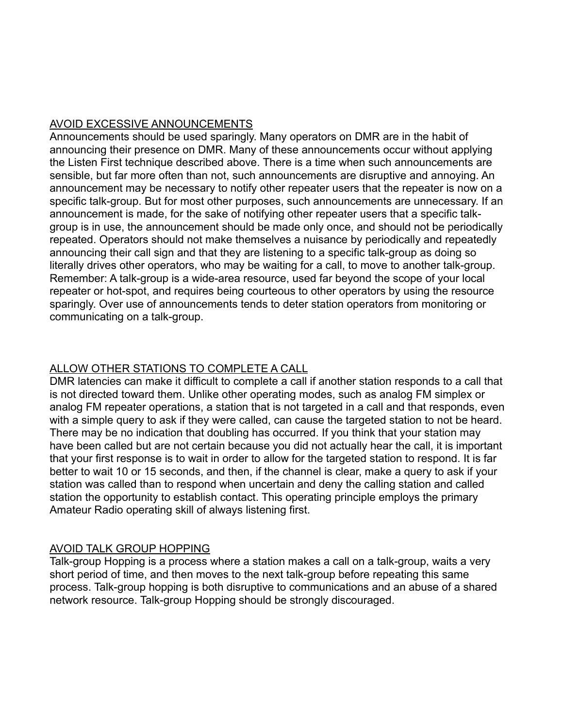### AVOID EXCESSIVE ANNOUNCEMENTS

Announcements should be used sparingly. Many operators on DMR are in the habit of announcing their presence on DMR. Many of these announcements occur without applying the Listen First technique described above. There is a time when such announcements are sensible, but far more often than not, such announcements are disruptive and annoying. An announcement may be necessary to notify other repeater users that the repeater is now on a specific talk-group. But for most other purposes, such announcements are unnecessary. If an announcement is made, for the sake of notifying other repeater users that a specific talkgroup is in use, the announcement should be made only once, and should not be periodically repeated. Operators should not make themselves a nuisance by periodically and repeatedly announcing their call sign and that they are listening to a specific talk-group as doing so literally drives other operators, who may be waiting for a call, to move to another talk-group. Remember: A talk-group is a wide-area resource, used far beyond the scope of your local repeater or hot-spot, and requires being courteous to other operators by using the resource sparingly. Over use of announcements tends to deter station operators from monitoring or communicating on a talk-group.

### ALLOW OTHER STATIONS TO COMPLETE A CALL

DMR latencies can make it difficult to complete a call if another station responds to a call that is not directed toward them. Unlike other operating modes, such as analog FM simplex or analog FM repeater operations, a station that is not targeted in a call and that responds, even with a simple query to ask if they were called, can cause the targeted station to not be heard. There may be no indication that doubling has occurred. If you think that your station may have been called but are not certain because you did not actually hear the call, it is important that your first response is to wait in order to allow for the targeted station to respond. It is far better to wait 10 or 15 seconds, and then, if the channel is clear, make a query to ask if your station was called than to respond when uncertain and deny the calling station and called station the opportunity to establish contact. This operating principle employs the primary Amateur Radio operating skill of always listening first.

### AVOID TALK GROUP HOPPING

Talk-group Hopping is a process where a station makes a call on a talk-group, waits a very short period of time, and then moves to the next talk-group before repeating this same process. Talk-group hopping is both disruptive to communications and an abuse of a shared network resource. Talk-group Hopping should be strongly discouraged.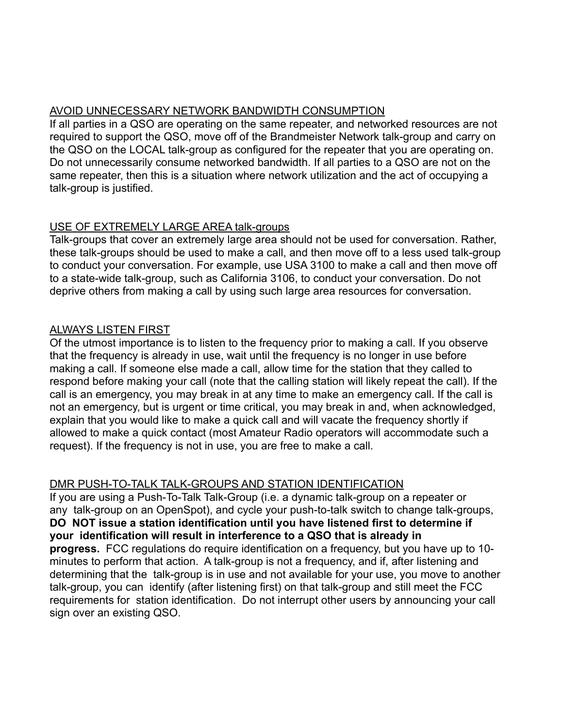### AVOID UNNECESSARY NETWORK BANDWIDTH CONSUMPTION

If all parties in a QSO are operating on the same repeater, and networked resources are not required to support the QSO, move off of the Brandmeister Network talk-group and carry on the QSO on the LOCAL talk-group as configured for the repeater that you are operating on. Do not unnecessarily consume networked bandwidth. If all parties to a QSO are not on the same repeater, then this is a situation where network utilization and the act of occupying a talk-group is justified.

# USE OF EXTREMELY LARGE AREA talk-groups

Talk-groups that cover an extremely large area should not be used for conversation. Rather, these talk-groups should be used to make a call, and then move off to a less used talk-group to conduct your conversation. For example, use USA 3100 to make a call and then move off to a state-wide talk-group, such as California 3106, to conduct your conversation. Do not deprive others from making a call by using such large area resources for conversation.

# ALWAYS LISTEN FIRST

Of the utmost importance is to listen to the frequency prior to making a call. If you observe that the frequency is already in use, wait until the frequency is no longer in use before making a call. If someone else made a call, allow time for the station that they called to respond before making your call (note that the calling station will likely repeat the call). If the call is an emergency, you may break in at any time to make an emergency call. If the call is not an emergency, but is urgent or time critical, you may break in and, when acknowledged, explain that you would like to make a quick call and will vacate the frequency shortly if allowed to make a quick contact (most Amateur Radio operators will accommodate such a request). If the frequency is not in use, you are free to make a call.

# DMR PUSH-TO-TALK TALK-GROUPS AND STATION IDENTIFICATION

If you are using a Push-To-Talk Talk-Group (i.e. a dynamic talk-group on a repeater or any talk-group on an OpenSpot), and cycle your push-to-talk switch to change talk-groups, **DO NOT issue a station identification until you have listened first to determine if your identification will result in interference to a QSO that is already in progress.** FCC regulations do require identification on a frequency, but you have up to 10 minutes to perform that action. A talk-group is not a frequency, and if, after listening and determining that the talk-group is in use and not available for your use, you move to another talk-group, you can identify (after listening first) on that talk-group and still meet the FCC requirements for station identification. Do not interrupt other users by announcing your call sign over an existing QSO.